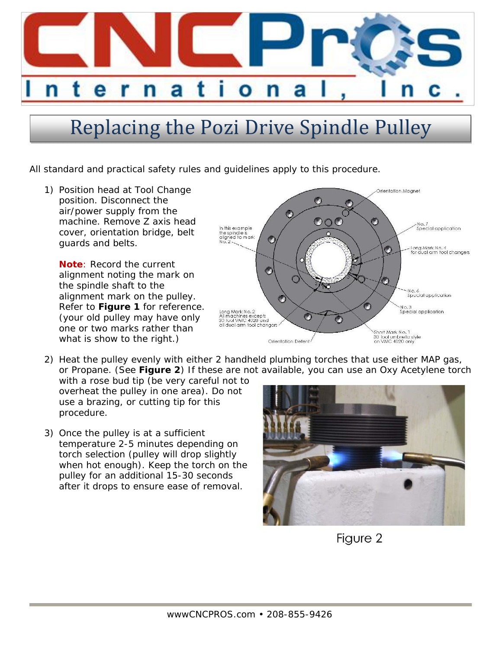

## Replacing the Pozi Drive Spindle Pulley

All standard and practical safety rules and guidelines apply to this procedure.

1) Position head at Tool Change position. Disconnect the air/power supply from the machine. Remove Z axis head cover, orientation bridge, belt guards and belts.

**Note**: Record the current alignment noting the mark on the spindle shaft to the alignment mark on the pulley. Refer to **Figure 1** for reference. (your old pulley may have only one or two marks rather than what is show to the right.)



2) Heat the pulley evenly with either 2 handheld plumbing torches that use either MAP gas, or Propane. (See **Figure 2**) If these are not available, you can use an Oxy Acetylene torch

with a rose bud tip (be very careful not to overheat the pulley in one area). Do not use a brazing, or cutting tip for this procedure.

3) Once the pulley is at a sufficient temperature 2-5 minutes depending on torch selection (pulley will drop slightly when hot enough). Keep the torch on the pulley for an additional 15-30 seconds after it drops to ensure ease of removal.